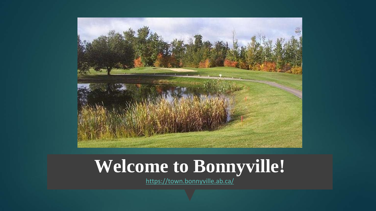

### **Welcome to Bonnyville!**

<https://town.bonnyville.ab.ca/>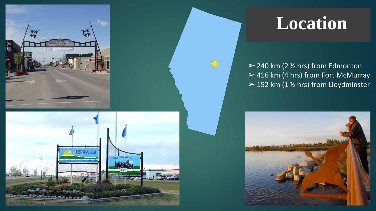



### **Location**

 $\geq$  240 km (2  $\frac{1}{2}$  hrs) from Edmonton  $>$  416 km (4 hrs) from Fort McMurray  $>$  152 km (1  $\frac{1}{2}$  hrs) from Lloydminster

 $\sum$ 

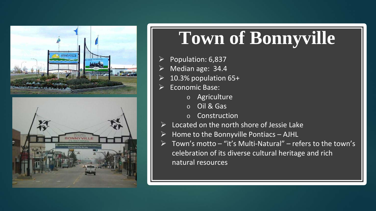



### **Town of Bonnyville**

- Population: 6,837
- Median age: 34.4
- 10.3% population 65+
- Economic Base:
	- o Agriculture
	- o Oil & Gas
	- o Construction
- Located on the north shore of Jessie Lake
- Home to the Bonnyville Pontiacs AJHL
- Town's motto "it's Multi-Natural" refers to the town's celebration of its diverse cultural heritage and rich natural resources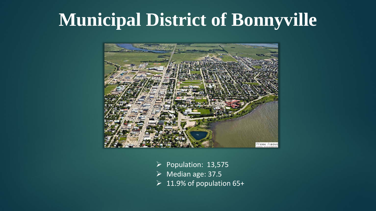#### **Municipal District of Bonnyville**



- $\triangleright$  Population: 13,575
- $\triangleright$  Median age: 37.5
- $\geq 11.9\%$  of population 65+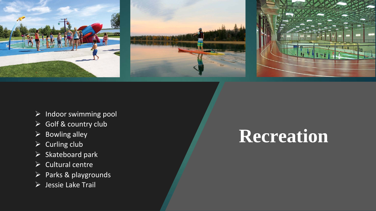

- $\triangleright$  Indoor swimming pool
- Golf & country club
- $\triangleright$  Bowling alley
- $\triangleright$  Curling club
- $\triangleright$  Skateboard park
- $\triangleright$  Cultural centre
- $\triangleright$  Parks & playgrounds
- Jessie Lake Trail

### **Recreation**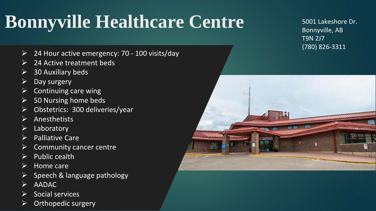# **Bonnyville Healthcare Centre**

- 24 Hour active emergency: 70 100 visits/day
- 24 Active treatment beds
- 30 Auxiliary beds
- Day surgery
- Continuing care wing
- $\triangleright$  50 Nursing home beds
- Obstetrics: 300 deliveries/year
- Anesthetists
- $\triangleright$  Laboratory
- $\triangleright$  Palliative Care
- Community cancer centre
- $\triangleright$  Public cealth
- $\triangleright$  Home care
- Speech & language pathology
- AADAC
- Social services
- Orthopedic surgery

5001 Lakeshore Dr. Bonnyville, AB T9N 2J7 (780) 826-3311

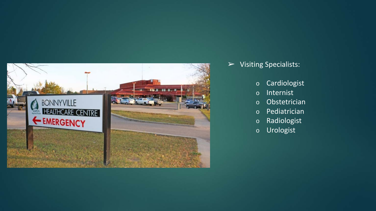

- ➢ Visiting Specialists:
	- o Cardiologist
	- o Internist
	- o Obstetrician
	- o Pediatrician
	- o Radiologist
	- o Urologist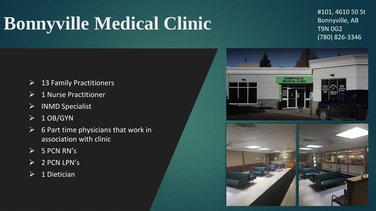# **Bonnyville Medical Clinic**

#101, 4610 50 St Bonnyville, AB T9N 0G2 (780) 826-3346

- $\triangleright$  13 Family Practitioners
- $\triangleright$  1 Nurse Practitioner
- $\triangleright$  INMD Specialist
- $\triangleright$  1 OB/GYN
- $\triangleright$  6 Part time physicians that work in association with clinic
- $> 5$  PCN RN's
- $\overline{2}$  PCN LPN's
- $\triangleright$  1 Dietician